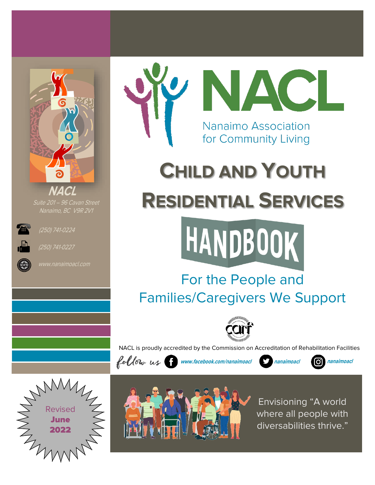

Suite 201 – 96 Cavan Street



(250) 741-0224



(250) 741-0227





# **CHILD AND YOUTH RESIDENTIAL SERVICES**



## For the People and Families/Caregivers We Support



NACL is proudly accredited by the Commission on Accreditation of Rehabilitation Facilities



**www.facebook.com/nanaimoacl nanaimoacl nanaimoacl**







Envisioning "A world where all people with diversabilities thrive."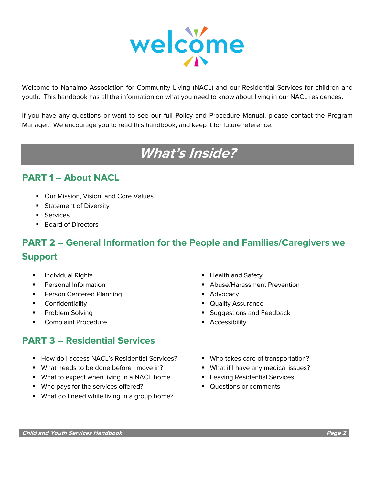

Welcome to Nanaimo Association for Community Living (NACL) and our Residential Services for children and youth. This handbook has all the information on what you need to know about living in our NACL residences.

If you have any questions or want to see our full Policy and Procedure Manual, please contact the Program Manager. We encourage you to read this handbook, and keep it for future reference.

## **What's Inside?**

## **PART 1 – About NACL**

- Our Mission, Vision, and Core Values
- Statement of Diversity
- Services
- Board of Directors

## **PART 2 – General Information for the People and Families/Caregivers we Support**

- 
- 
- Person Centered Planning ■ Advocacy
- 
- 
- **Complaint Procedure Example 3 Accessibility Example 2 Accessibility**

## **PART 3 – Residential Services**

- How do I access NACL's Residential Services? Who takes care of transportation?
- What needs to be done before I move in? What if I have any medical issues?
- What to expect when living in a NACL home Leaving Residential Services
- Who pays for the services offered? Questions or comments
- What do I need while living in a group home?
- Individual Rights **Theorem Account 1999 The Health and Safety Theorem Account 1999 Theorem Account 1999 Theorem Account 1999 Theorem Account 1999 Theorem Account 1999 Theorem Account 1999 Theorem Account 19**
- **Personal Information Example 20 Abuse/Harassment Prevention** 
	-
- Confidentiality  **Quality Assurance**
- Problem Solving  **Suggestions and Feedback** 
	-
	-
	-
	-
	-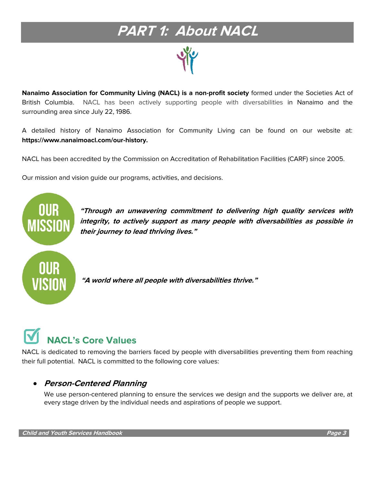## **PART 1: About NACL**

**Nanaimo Association for Community Living (NACL) is a non-profit society** formed under the Societies Act of British Columbia. NACL has been actively supporting people with diversabilities in Nanaimo and the surrounding area since July 22, 1986.

A detailed history of Nanaimo Association for Community Living can be found on our website at: **https://www.nanaimoacl.com/our-history.**

NACL has been accredited by the [Commission on Accreditation of Rehabilitation Facilities \(CARF\)](http://www.carf.org/) since 2005.

Our mission and vision guide our programs, activities, and decisions.



## **NACL's Core Values**

NACL is dedicated to removing the barriers faced by people with diversabilities preventing them from reaching their full potential. NACL is committed to the following core values:

## • **Person-Centered Planning**

We use person-centered planning to ensure the services we design and the supports we deliver are, at every stage driven by the individual needs and aspirations of people we support.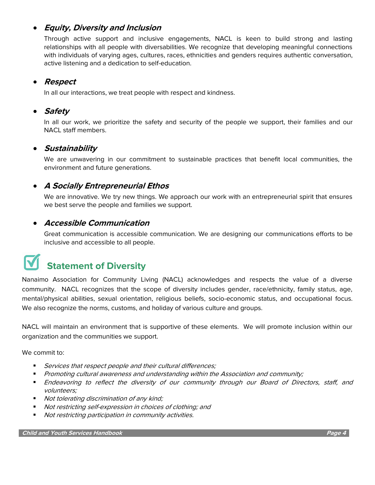## • **Equity, Diversity and Inclusion**

Through active support and inclusive engagements, NACL is keen to build strong and lasting relationships with all people with diversabilities. We recognize that developing meaningful connections with individuals of varying ages, cultures, races, ethnicities and genders requires authentic conversation, active listening and a dedication to self-education.

### • **Respect**

In all our interactions, we treat people with respect and kindness.

## • **Safety**

In all our work, we prioritize the safety and security of the people we support, their families and our NACL staff members.

### • **Sustainability**

We are unwavering in our commitment to sustainable practices that benefit local communities, the environment and future generations.

## • **A Socially Entrepreneurial Ethos**

We are innovative. We try new things. We approach our work with an entrepreneurial spirit that ensures we best serve the people and families we support.

### • **Accessible Communication**

Great communication is accessible communication. We are designing our communications efforts to be inclusive and accessible to all people.

## **Statement of Diversity**

Nanaimo Association for Community Living (NACL) acknowledges and respects the value of a diverse community. NACL recognizes that the scope of diversity includes gender, race/ethnicity, family status, age, mental/physical abilities, sexual orientation, religious beliefs, socio-economic status, and occupational focus. We also recognize the norms, customs, and holiday of various culture and groups.

NACL will maintain an environment that is supportive of these elements. We will promote inclusion within our organization and the communities we support.

We commit to:

- Services that respect people and their cultural differences;
- Promoting cultural awareness and understanding within the Association and community;
- **Endeavoring to reflect the diversity of our community through our Board of Directors, staff, and** volunteers;
- *Not tolerating discrimination of any kind;*
- Not restricting self-expression in choices of clothing; and
- Not restricting participation in community activities.

**Child and Youth Services Handbook Page 4**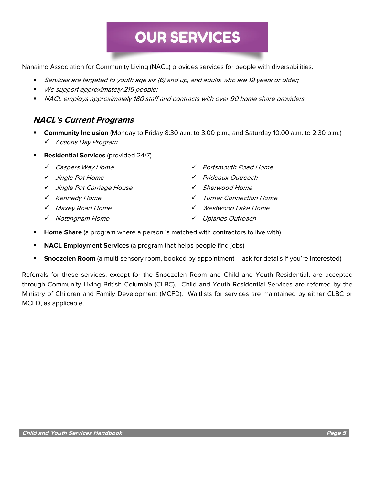## **OUR SERVICES**

Nanaimo Association for Community Living (NACL) provides services for people with diversabilities.

- **EXECT** Services are targeted to youth age six (6) and up, and adults who are 19 years or older;
- We support approximately 215 people;
- NACL employs approximately 180 staff and contracts with over 90 home share providers.

### **NACL's Current Programs**

- **Community Inclusion** (Monday to Friday 8:30 a.m. to 3:00 p.m., and Saturday 10:00 a.m. to 2:30 p.m.) ✓ Actions Day Program
- **Residential Services** (provided 24/7)
	-
	-
	- ✓ Jingle Pot Carriage House ✓ Sherwood Home
	-
	-
	-
	- ✓ Caspers Way Home ✓ Portsmouth Road Home
	- ✓ Jingle Pot Home ✓ Prideaux Outreach
		-
	- ✓ Kennedy Home ✓ Turner Connection Home
	- ✓ Maxey Road Home ✓ Westwood Lake Home
	- ✓ Nottingham Home ✓ Uplands Outreach
- **Home Share** (a program where a person is matched with contractors to live with)
- **EXECL Employment Services** (a program that helps people find jobs)
- **EXTER Snoezelen Room** (a multi-sensory room, booked by appointment ask for details if you're interested)

Referrals for these services, except for the Snoezelen Room and Child and Youth Residential, are accepted through Community Living British Columbia (CLBC). Child and Youth Residential Services are referred by the Ministry of Children and Family Development (MCFD). Waitlists for services are maintained by either CLBC or MCFD, as applicable.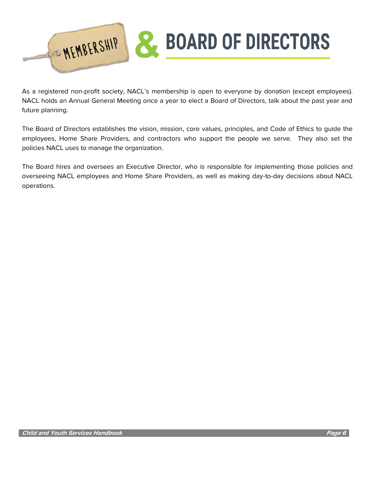

As a registered non-profit society, NACL's membership is open to everyone by donation (except employees). NACL holds an Annual General Meeting once a year to elect a Board of Directors, talk about the past year and future planning.

The Board of Directors establishes the vision, mission, core values, principles, and Code of Ethics to guide the employees, Home Share Providers, and contractors who support the people we serve. They also set the policies NACL uses to manage the organization.

The Board hires and oversees an Executive Director, who is responsible for implementing those policies and overseeing NACL employees and Home Share Providers, as well as making day-to-day decisions about NACL operations.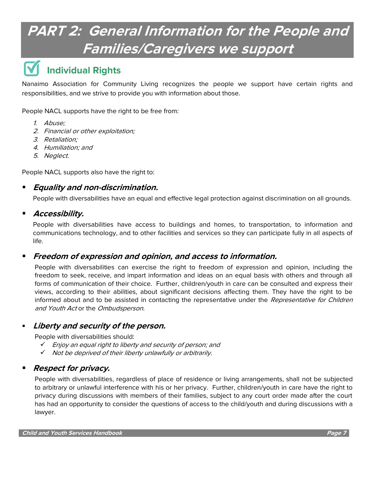## **PART 2: General Information for the People and Families/Caregivers we support**

## **Individual Rights**

Nanaimo Association for Community Living recognizes the people we support have certain rights and responsibilities, and we strive to provide you with information about those.

People NACL supports have the right to be free from:

- 1. Abuse;
- 2. Financial or other exploitation;
- 3. Retaliation;
- 4. Humiliation; and
- 5. Neglect.

People NACL supports also have the right to:

### ▪ **Equality and non-discrimination.**

People with diversabilities have an equal and effective legal protection against discrimination on all grounds.

### ▪ **Accessibility.**

People with diversabilities have access to buildings and homes, to transportation, to information and communications technology, and to other facilities and services so they can participate fully in all aspects of life.

### ▪ **Freedom of expression and opinion, and access to information.**

People with diversabilities can exercise the right to freedom of expression and opinion, including the freedom to seek, receive, and impart information and ideas on an equal basis with others and through all forms of communication of their choice. Further, children/youth in care can be consulted and express their views, according to their abilities, about significant decisions affecting them. They have the right to be informed about and to be assisted in contacting the representative under the Representative for Children and Youth Act or the Ombudsperson.

### **Liberty and security of the person.**

People with diversabilities should:

- ✓ Enjoy an equal right to liberty and security of person; and
- ✓ Not be deprived of their liberty unlawfully or arbitrarily.

### **Respect for privacy.**

People with diversabilities, regardless of place of residence or living arrangements, shall not be subjected to arbitrary or unlawful interference with his or her privacy. Further, children/youth in care have the right to privacy during discussions with members of their families, subject to any court order made after the court has had an opportunity to consider the questions of access to the child/youth and during discussions with a lawyer.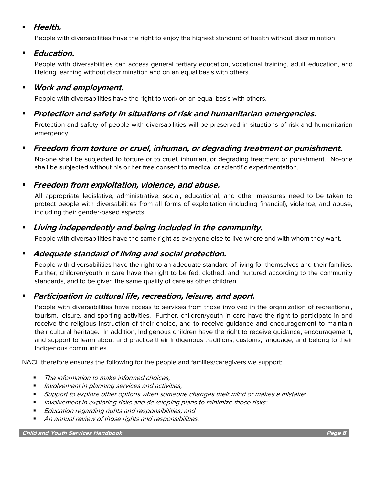### ▪ **Health.**

People with diversabilities have the right to enjoy the highest standard of health without discrimination

### ▪ **Education.**

People with diversabilities can access general tertiary education, vocational training, adult education, and lifelong learning without discrimination and on an equal basis with others.

## ▪ **Work and employment.**

People with diversabilities have the right to work on an equal basis with others.

## ▪ **Protection and safety in situations of risk and humanitarian emergencies.**

Protection and safety of people with diversabilities will be preserved in situations of risk and humanitarian emergency.

## ▪ **Freedom from torture or cruel, inhuman, or degrading treatment or punishment.**

No-one shall be subjected to torture or to cruel, inhuman, or degrading treatment or punishment. No-one shall be subjected without his or her free consent to medical or scientific experimentation.

### ▪ **Freedom from exploitation, violence, and abuse.**

All appropriate legislative, administrative, social, educational, and other measures need to be taken to protect people with diversabilities from all forms of exploitation (including financial), violence, and abuse, including their gender-based aspects.

## ▪ **Living independently and being included in the community.**

People with diversabilities have the same right as everyone else to live where and with whom they want.

## ■ *Adequate standard of living and social protection.*

People with diversabilities have the right to an adequate standard of living for themselves and their families. Further, children/youth in care have the right to be fed, clothed, and nurtured according to the community standards, and to be given the same quality of care as other children.

## **Participation in cultural life, recreation, leisure, and sport.**

People with diversabilities have access to services from those involved in the organization of recreational, tourism, leisure, and sporting activities. Further, children/youth in care have the right to participate in and receive the religious instruction of their choice, and to receive guidance and encouragement to maintain their cultural heritage. In addition, Indigenous children have the right to receive guidance, encouragement, and support to learn about and practice their Indigenous traditions, customs, language, and belong to their Indigenous communities.

NACL therefore ensures the following for the people and families/caregivers we support:

- The information to make informed choices;
- Involvement in planning services and activities;
- Support to explore other options when someone changes their mind or makes a mistake;
- Involvement in exploring risks and developing plans to minimize those risks;
- Education regarding rights and responsibilities; and
- An annual review of those rights and responsibilities.

#### **Child and Youth Services Handbook Page 8**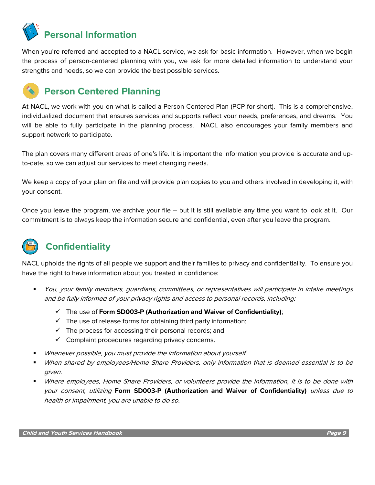

When you're referred and accepted to a NACL service, we ask for basic information. However, when we begin the process of person-centered planning with you, we ask for more detailed information to understand your strengths and needs, so we can provide the best possible services.

## **Person Centered Planning**

At NACL, we work with you on what is called a Person Centered Plan (PCP for short). This is a comprehensive, individualized document that ensures services and supports reflect your needs, preferences, and dreams. You will be able to fully participate in the planning process. NACL also encourages your family members and support network to participate.

The plan covers many different areas of one's life. It is important the information you provide is accurate and upto-date, so we can adjust our services to meet changing needs.

We keep a copy of your plan on file and will provide plan copies to you and others involved in developing it, with your consent.

Once you leave the program, we archive your file – but it is still available any time you want to look at it. Our commitment is to always keep the information secure and confidential, even after you leave the program.



## **Confidentiality**

NACL upholds the rights of all people we support and their families to privacy and confidentiality. To ensure you have the right to have information about you treated in confidence:

- You, your family members, quardians, committees, or representatives will participate in intake meetings and be fully informed of your privacy rights and access to personal records, including:
	- ✓ The use of **Form SD003-P (Authorization and Waiver of Confidentiality)**;
	- $\checkmark$  The use of release forms for obtaining third party information;
	- $\checkmark$  The process for accessing their personal records; and
	- $\checkmark$  Complaint procedures regarding privacy concerns.
- Whenever possible, you must provide the information about yourself.
- When shared by employees/Home Share Providers, only information that is deemed essential is to be given.
- Where employees, Home Share Providers, or volunteers provide the information, it is to be done with your consent, utilizing **Form SD003-P (Authorization and Waiver of Confidentiality)** unless due to health or impairment, you are unable to do so.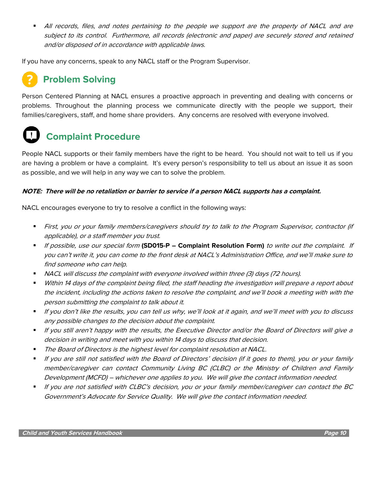All records, files, and notes pertaining to the people we support are the property of NACL and are subject to its control. Furthermore, all records (electronic and paper) are securely stored and retained and/or disposed of in accordance with applicable laws.

If you have any concerns, speak to any NACL staff or the Program Supervisor.

## **Problem Solving**

Person Centered Planning at NACL ensures a proactive approach in preventing and dealing with concerns or problems. Throughout the planning process we communicate directly with the people we support, their families/caregivers, staff, and home share providers. Any concerns are resolved with everyone involved.

## **Complaint Procedure**

People NACL supports or their family members have the right to be heard. You should not wait to tell us if you are having a problem or have a complaint. It's every person's responsibility to tell us about an issue it as soon as possible, and we will help in any way we can to solve the problem.

#### **NOTE: There will be no retaliation or barrier to service if a person NACL supports has a complaint.**

NACL encourages everyone to try to resolve a conflict in the following ways:

- First, you or your family members/caregivers should try to talk to the Program Supervisor, contractor (if applicable), or a staff member you trust.
- If possible, use our special form **(SD015-P – Complaint Resolution Form)** to write out the complaint. If you can't write it, you can come to the front desk at NACL's Administration Office, and we'll make sure to find someone who can help.
- NACL will discuss the complaint with everyone involved within three (3) days (72 hours).
- Within 14 days of the complaint being filed, the staff heading the investigation will prepare a report about the incident, including the actions taken to resolve the complaint, and we'll book a meeting with with the person submitting the complaint to talk about it.
- If you don't like the results, you can tell us why, we'll look at it again, and we'll meet with you to discuss any possible changes to the decision about the complaint.
- If you still aren't happy with the results, the Executive Director and/or the Board of Directors will give a decision in writing and meet with you within 14 days to discuss that decision.
- The Board of Directors is the highest level for complaint resolution at NACL.
- If you are still not satisfied with the Board of Directors' decision (if it goes to them), you or your family member/caregiver can contact Community Living BC (CLBC) or the Ministry of Children and Family Development (MCFD) – whichever one applies to you. We will give the contact information needed.
- If you are not satisfied with CLBC's decision, you or your family member/caregiver can contact the BC Government's Advocate for Service Quality. We will give the contact information needed.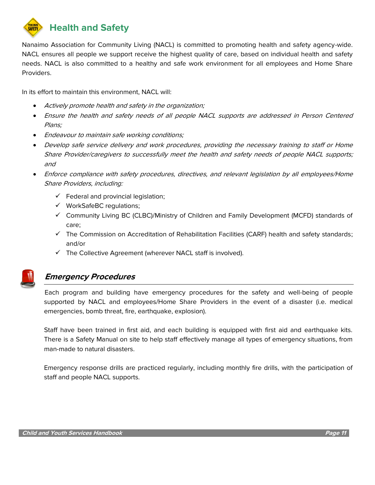

Nanaimo Association for Community Living (NACL) is committed to promoting health and safety agency-wide. NACL ensures all people we support receive the highest quality of care, based on individual health and safety needs. NACL is also committed to a healthy and safe work environment for all employees and Home Share Providers.

In its effort to maintain this environment, NACL will:

- Actively promote health and safety in the organization;
- Ensure the health and safety needs of all people NACL supports are addressed in Person Centered Plans;
- Endeavour to maintain safe working conditions;
- Develop safe service delivery and work procedures, providing the necessary training to staff or Home Share Provider/caregivers to successfully meet the health and safety needs of people NACL supports; and
- Enforce compliance with safety procedures, directives, and relevant legislation by all employees/Home Share Providers, including:
	- $\checkmark$  Federal and provincial legislation;
	- ✓ WorkSafeBC regulations;
	- ✓ Community Living BC (CLBC)/Ministry of Children and Family Development (MCFD) standards of care;
	- $\checkmark$  The Commission on Accreditation of Rehabilitation Facilities (CARF) health and safety standards; and/or
	- ✓ The Collective Agreement (wherever NACL staff is involved).



## **Emergency Procedures**

Each program and building have emergency procedures for the safety and well-being of people supported by NACL and employees/Home Share Providers in the event of a disaster (i.e. medical emergencies, bomb threat, fire, earthquake, explosion).

Staff have been trained in first aid, and each building is equipped with first aid and earthquake kits. There is a Safety Manual on site to help staff effectively manage all types of emergency situations, from man-made to natural disasters.

Emergency response drills are practiced regularly, including monthly fire drills, with the participation of staff and people NACL supports.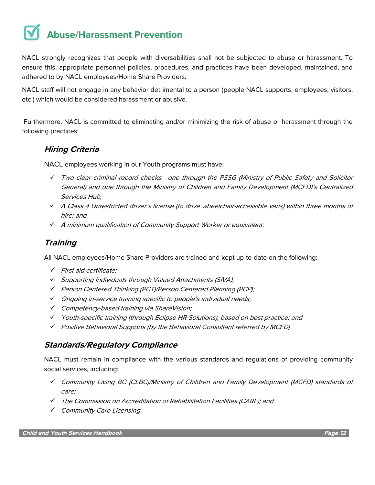## **Abuse/Harassment Prevention**

NACL strongly recognizes that people with diversabilities shall not be subjected to abuse or harassment. To ensure this, appropriate personnel policies, procedures, and practices have been developed, maintained, and adhered to by NACL employees/Home Share Providers.

NACL staff will not engage in any behavior detrimental to a person (people NACL supports, employees, visitors, etc.) which would be considered harassment or abusive.

Furthermore, NACL is committed to eliminating and/or minimizing the risk of abuse or harassment through the following practices:

## **Hiring Criteria**

NACL employees working in our Youth programs must have:

- ✓ Two clear criminal record checks: one through the PSSG (Ministry of Public Safety and Solicitor General) and one through the Ministry of Children and Family Development (MCFD)'s Centralized Services Hub;
- ✓ A Class 4 Unrestricted driver's license (to drive wheelchair-accessible vans) within three months of hire; and
- ✓ <sup>A</sup> minimum qualification of Community Support Worker or equivalent.

## **Training**

All NACL employees/Home Share Providers are trained and kept up-to-date on the following:

- ✓ First aid certificate;
- ✓ Supporting Individuals through Valued Attachments (SIVA);
- ✓ Person Centered Thinking (PCT)/Person Centered Planning (PCP);
- ✓ Ongoing in-service training specific to people's individual needs;
- ✓ Competency-based training via ShareVision;
- ✓ Youth-specific training (through Eclipse HR Solutions), based on best practice; and
- ✓ Positive Behavioral Supports (by the Behavioral Consultant referred by MCFD)

## **Standards/Regulatory Compliance**

NACL must remain in compliance with the various standards and regulations of providing community social services, including:

- ✓ Community Living BC (CLBC)/Ministry of Children and Family Development (MCFD) standards of care;
- ✓ The Commission on Accreditation of Rehabilitation Facilities (CARF); and
- ✓ Community Care Licensing.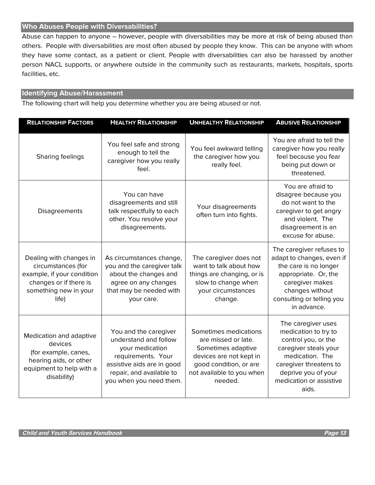#### **Who Abuses People with Diversabilities?**

Abuse can happen to anyone – however, people with diversabilities may be more at risk of being abused than others. People with diversabilities are most often abused by people they know. This can be anyone with whom they have some contact, as a patient or client. People with diversabilities can also be harassed by another person NACL supports, or anywhere outside in the community such as restaurants, markets, hospitals, sports facilities, etc.

#### **Identifying Abuse/Harassment**

The following chart will help you determine whether you are being abused or not.

| <b>RELATIONSHIP FACTORS</b>                                                                                                             | <b>HEALTHY RELATIONSHIP</b>                                                                                                                                                  | <b>UNHEALTHY RELATIONSHIP</b>                                                                                                                                   | <b>ABUSIVE RELATIONSHIP</b>                                                                                                                                                                        |
|-----------------------------------------------------------------------------------------------------------------------------------------|------------------------------------------------------------------------------------------------------------------------------------------------------------------------------|-----------------------------------------------------------------------------------------------------------------------------------------------------------------|----------------------------------------------------------------------------------------------------------------------------------------------------------------------------------------------------|
| Sharing feelings                                                                                                                        | You feel safe and strong<br>enough to tell the<br>caregiver how you really<br>feel.                                                                                          | You feel awkward telling<br>the caregiver how you<br>really feel.                                                                                               | You are afraid to tell the<br>caregiver how you really<br>feel because you fear<br>being put down or<br>threatened.                                                                                |
| Disagreements                                                                                                                           | You can have<br>disagreements and still<br>talk respectfully to each<br>other. You resolve your<br>disagreements.                                                            | Your disagreements<br>often turn into fights.                                                                                                                   | You are afraid to<br>disagree because you<br>do not want to the<br>caregiver to get angry<br>and violent. The<br>disagreement is an<br>excuse for abuse.                                           |
| Dealing with changes in<br>circumstances (for<br>example, if your condition<br>changes or if there is<br>something new in your<br>life) | As circumstances change,<br>you and the caregiver talk<br>about the changes and<br>agree on any changes<br>that may be needed with<br>your care.                             | The caregiver does not<br>want to talk about how<br>things are changing, or is<br>slow to change when<br>your circumstances<br>change.                          | The caregiver refuses to<br>adapt to changes, even if<br>the care is no longer<br>appropriate. Or, the<br>caregiver makes<br>changes without<br>consulting or telling you<br>in advance.           |
| Medication and adaptive<br>devices<br>(for example, canes,<br>hearing aids, or other<br>equipment to help with a<br>disability)         | You and the caregiver<br>understand and follow<br>your medication<br>requirements. Your<br>assistive aids are in good<br>repair, and available to<br>you when you need them. | Sometimes medications<br>are missed or late.<br>Sometimes adaptive<br>devices are not kept in<br>good condition, or are<br>not available to you when<br>needed. | The caregiver uses<br>medication to try to<br>control you, or the<br>caregiver steals your<br>medication. The<br>caregiver threatens to<br>deprive you of your<br>medication or assistive<br>aids. |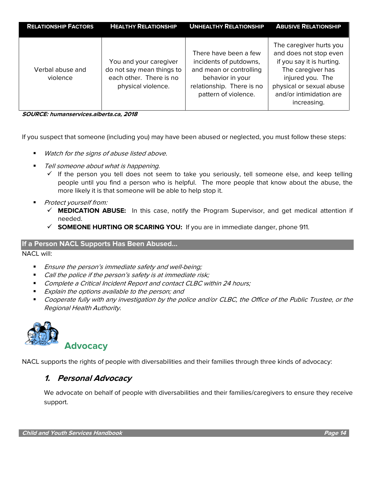| <b>RELATIONSHIP FACTORS</b>  | <b>HEALTHY RELATIONSHIP</b>                                                                          | <b>UNHEALTHY RELATIONSHIP</b>                                                                                                                       | <b>ABUSIVE RELATIONSHIP</b>                                                                                                                                                                   |
|------------------------------|------------------------------------------------------------------------------------------------------|-----------------------------------------------------------------------------------------------------------------------------------------------------|-----------------------------------------------------------------------------------------------------------------------------------------------------------------------------------------------|
| Verbal abuse and<br>violence | You and your caregiver<br>do not say mean things to<br>each other. There is no<br>physical violence. | There have been a few<br>incidents of putdowns,<br>and mean or controlling<br>behavior in your<br>relationship. There is no<br>pattern of violence. | The caregiver hurts you<br>and does not stop even<br>if you say it is hurting.<br>The caregiver has<br>injured you. The<br>physical or sexual abuse<br>and/or intimidation are<br>increasing. |

**SOURCE: humanservices.alberta.ca, 2018**

If you suspect that someone (including you) may have been abused or neglected, you must follow these steps:

- Watch for the signs of abuse listed above.
- Tell someone about what is happening.
	- $\checkmark$  If the person you tell does not seem to take you seriously, tell someone else, and keep telling people until you find a person who is helpful. The more people that know about the abuse, the more likely it is that someone will be able to help stop it.
- Protect yourself from:
	- ✓ **MEDICATION ABUSE:** In this case, notify the Program Supervisor, and get medical attention if needed.
	- ✓ **SOMEONE HURTING OR SCARING YOU:** If you are in immediate danger, phone 911.

#### **If a Person NACL Supports Has Been Abused…**

NACL will:

- Ensure the person's immediate safety and well-being;
- Call the police if the person's safety is at immediate risk;
- Complete a Critical Incident Report and contact CLBC within 24 hours;
- Explain the options available to the person; and
- Cooperate fully with any investigation by the police and/or CLBC, the Office of the Public Trustee, or the Regional Health Authority.



NACL supports the rights of people with diversabilities and their families through three kinds of advocacy:

## **1. Personal Advocacy**

We advocate on behalf of people with diversabilities and their families/caregivers to ensure they receive support.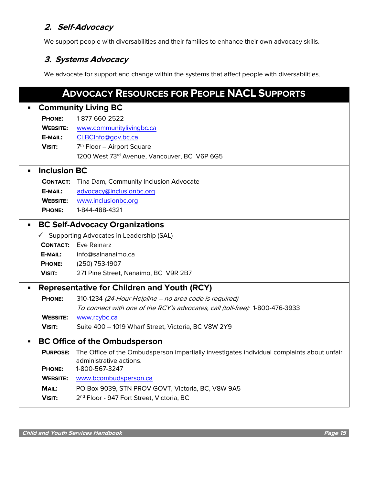## **2. Self-Advocacy**

We support people with diversabilities and their families to enhance their own advocacy skills.

## **3. Systems Advocacy**

We advocate for support and change within the systems that affect people with diversabilities.

| <b>ADVOCACY RESOURCES FOR PEOPLE NACL SUPPORTS</b> |                                                    |                                                                                                                       |  |  |  |
|----------------------------------------------------|----------------------------------------------------|-----------------------------------------------------------------------------------------------------------------------|--|--|--|
|                                                    | <b>Community Living BC</b>                         |                                                                                                                       |  |  |  |
|                                                    | <b>PHONE:</b>                                      | 1-877-660-2522                                                                                                        |  |  |  |
|                                                    | <b>WEBSITE:</b>                                    | www.communitylivingbc.ca                                                                                              |  |  |  |
|                                                    | E-MAIL:                                            | CLBCInfo@gov.bc.ca                                                                                                    |  |  |  |
|                                                    | <b>VISIT:</b>                                      | 7 <sup>th</sup> Floor - Airport Square                                                                                |  |  |  |
|                                                    |                                                    | 1200 West 73rd Avenue, Vancouver, BC V6P 6G5                                                                          |  |  |  |
|                                                    | <b>Inclusion BC</b>                                |                                                                                                                       |  |  |  |
|                                                    | <b>CONTACT:</b>                                    | Tina Dam, Community Inclusion Advocate                                                                                |  |  |  |
|                                                    | E-MAIL:                                            | advocacy@inclusionbc.org                                                                                              |  |  |  |
|                                                    | <b>WEBSITE:</b>                                    | www.inclusionbc.org                                                                                                   |  |  |  |
|                                                    | <b>PHONE:</b>                                      | 1-844-488-4321                                                                                                        |  |  |  |
|                                                    | <b>BC Self-Advocacy Organizations</b>              |                                                                                                                       |  |  |  |
|                                                    | ✔ Supporting Advocates in Leadership (SAL)         |                                                                                                                       |  |  |  |
|                                                    | <b>CONTACT:</b>                                    | Eve Reinarz                                                                                                           |  |  |  |
|                                                    | E-MAIL:                                            | info@salnanaimo.ca                                                                                                    |  |  |  |
|                                                    | <b>PHONE:</b>                                      | (250) 753-1907                                                                                                        |  |  |  |
|                                                    | <b>VISIT:</b>                                      | 271 Pine Street, Nanaimo, BC V9R 2B7                                                                                  |  |  |  |
|                                                    | <b>Representative for Children and Youth (RCY)</b> |                                                                                                                       |  |  |  |
|                                                    | <b>PHONE:</b>                                      | 310-1234 (24-Hour Helpline - no area code is required)                                                                |  |  |  |
|                                                    |                                                    | To connect with one of the RCY's advocates, call (toll-free): 1-800-476-3933                                          |  |  |  |
|                                                    | <b>WEBSITE:</b>                                    | www.rcybc.ca                                                                                                          |  |  |  |
|                                                    | <b>VISIT:</b>                                      | Suite 400 - 1019 Wharf Street, Victoria, BC V8W 2Y9                                                                   |  |  |  |
|                                                    | <b>BC Office of the Ombudsperson</b>               |                                                                                                                       |  |  |  |
|                                                    | <b>PURPOSE:</b>                                    | The Office of the Ombudsperson impartially investigates individual complaints about unfair<br>administrative actions. |  |  |  |
|                                                    | <b>PHONE:</b>                                      | 1-800-567-3247                                                                                                        |  |  |  |
|                                                    | <b>WEBSITE:</b>                                    | www.bcombudsperson.ca                                                                                                 |  |  |  |
|                                                    | MAIL:                                              | PO Box 9039, STN PROV GOVT, Victoria, BC, V8W 9A5                                                                     |  |  |  |
|                                                    | <b>VISIT:</b>                                      | 2 <sup>nd</sup> Floor - 947 Fort Street, Victoria, BC                                                                 |  |  |  |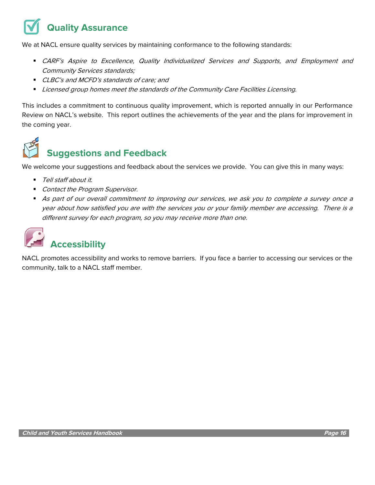## **Quality Assurance**

We at NACL ensure quality services by maintaining conformance to the following standards:

- **EXARF's Aspire to Excellence, Quality Individualized Services and Supports, and Employment and** Community Services standards;
- CLBC's and MCFD's standards of care; and
- Licensed group homes meet the standards of the Community Care Facilities Licensing.

This includes a commitment to continuous quality improvement, which is reported annually in our Performance Review on NACL's website. This report outlines the achievements of the year and the plans for improvement in the coming year.



## **Suggestions and Feedback**

We welcome your suggestions and feedback about the services we provide. You can give this in many ways:

- Tell staff about it.
- Contact the Program Supervisor.
- As part of our overall commitment to improving our services, we ask you to complete a survey once a year about how satisfied you are with the services you or your family member are accessing. There is a different survey for each program, so you may receive more than one.

| <b>Accessibility</b> |
|----------------------|

NACL promotes accessibility and works to remove barriers. If you face a barrier to accessing our services or the community, talk to a NACL staff member.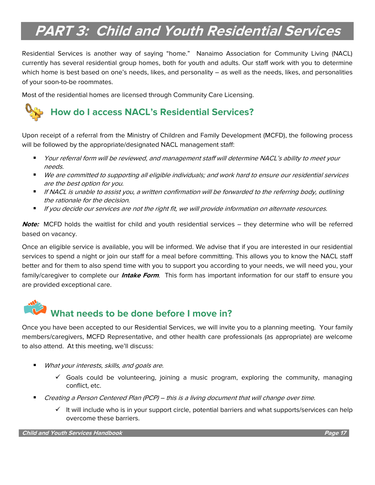## **PART 3: Child and Youth Residential Services**

Residential Services is another way of saying "home." Nanaimo Association for Community Living (NACL) currently has several residential group homes, both for youth and adults. Our staff work with you to determine which home is best based on one's needs, likes, and personality – as well as the needs, likes, and personalities of your soon-to-be roommates.

Most of the residential homes are licensed through Community Care Licensing.

## **How do I access NACL's Residential Services?**

Upon receipt of a referral from the Ministry of Children and Family Development (MCFD), the following process will be followed by the appropriate/designated NACL management staff:

- Your referral form will be reviewed, and management staff will determine NACL's ability to meet your needs.
- We are committed to supporting all eligible individuals; and work hard to ensure our residential services are the best option for you.
- If NACL is unable to assist you, a written confirmation will be forwarded to the referring body, outlining the rationale for the decision.
- If you decide our services are not the right fit, we will provide information on alternate resources.

**Note:** MCFD holds the waitlist for child and youth residential services – they determine who will be referred based on vacancy.

Once an eligible service is available, you will be informed. We advise that if you are interested in our residential services to spend a night or join our staff for a meal before committing. This allows you to know the NACL staff better and for them to also spend time with you to support you according to your needs, we will need you, your family/caregiver to complete our **Intake Form**. This form has important information for our staff to ensure you are provided exceptional care.

## **What needs to be done before I move in?**

Once you have been accepted to our Residential Services, we will invite you to a planning meeting. Your family members/caregivers, MCFD Representative, and other health care professionals (as appropriate) are welcome to also attend. At this meeting, we'll discuss:

- What your interests, skills, and goals are.
	- $\checkmark$  Goals could be volunteering, joining a music program, exploring the community, managing conflict, etc.
- Creating a Person Centered Plan (PCP) this is a living document that will change over time.
	- ✓ It will include who is in your support circle, potential barriers and what supports/services can help overcome these barriers.

**Child and Youth Services Handbook Page 17**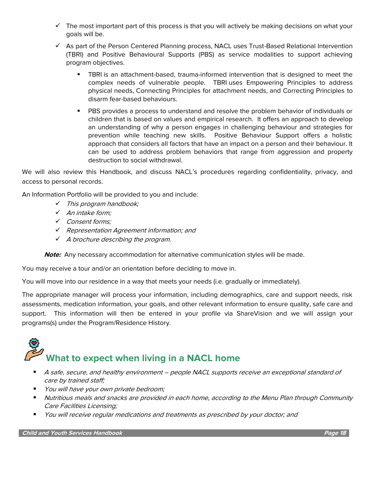- $\checkmark$  The most important part of this process is that you will actively be making decisions on what your goals will be.
- $\checkmark$  As part of the Person Centered Planning process, NACL uses Trust-Based Relational Intervention (TBRI) and Positive Behavioural Supports (PBS) as service modalities to support achieving program objectives.
	- **•** TBRI is an attachment-based, trauma-informed intervention that is designed to meet the complex needs of vulnerable people. TBRI uses Empowering Principles to address physical needs, Connecting Principles for attachment needs, and Correcting Principles to disarm fear-based behaviours.
	- PBS provides a process to understand and resolve the problem behavior of individuals or children that is based on values and empirical research. It offers an approach to develop an understanding of why a person engages in challenging behaviour and strategies for prevention while teaching new skills. Positive Behaviour Support offers a holistic approach that considers all factors that have an impact on a person and their behaviour. It can be used to address problem behaviors that range from aggression and property destruction to social withdrawal.

We will also review this Handbook, and discuss NACL's procedures regarding confidentiality, privacy, and access to personal records.

An Information Portfolio will be provided to you and include:

- ✓ This program handbook;
- ✓ An intake form;
- ✓ Consent forms;
- ✓ Representation Agreement information; and
- $\checkmark$  A brochure describing the program.

**Note:** Any necessary accommodation for alternative communication styles will be made.

You may receive a tour and/or an orientation before deciding to move in.

You will move into our residence in a way that meets your needs (i.e. gradually or immediately).

The appropriate manager will process your information, including demographics, care and support needs, risk assessments, medication information, your goals, and other relevant information to ensure quality, safe care and support. This information will then be entered in your profile via ShareVision and we will assign your programs(s) under the Program/Residence History.

# **What to expect when living in a NACL home**

- A safe, secure, and healthy environment people NACL supports receive an exceptional standard of care by trained staff;
- *You will have your own private bedroom;*
- Nutritious meals and snacks are provided in each home, according to the Menu Plan through Community Care Facilities Licensing;
- You will receive regular medications and treatments as prescribed by your doctor; and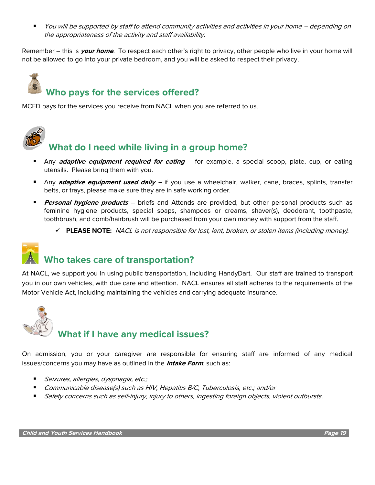▪ You will be supported by staff to attend community activities and activities in your home – depending on the appropriateness of the activity and staff availability.

Remember – this is **your home**. To respect each other's right to privacy, other people who live in your home will not be allowed to go into your private bedroom, and you will be asked to respect their privacy.

## **Who pays for the services offered?**

MCFD pays for the services you receive from NACL when you are referred to us.



## **What do I need while living in a group home?**

- Any **adaptive equipment required for eating** for example, a special scoop, plate, cup, or eating utensils. Please bring them with you.
- Any **adaptive equipment used daily –** if you use a wheelchair, walker, cane, braces, splints, transfer belts, or trays, please make sure they are in safe working order.
- **Personal hygiene products** briefs and Attends are provided, but other personal products such as feminine hygiene products, special soaps, shampoos or creams, shaver(s), deodorant, toothpaste, toothbrush, and comb/hairbrush will be purchased from your own money with support from the staff.
	- ✓ **PLEASE NOTE:** NACL is not responsible for lost, lent, broken, or stolen items (including money).

## **Who takes care of transportation?**

At NACL, we support you in using public transportation, including HandyDart. Our staff are trained to transport you in our own vehicles, with due care and attention. NACL ensures all staff adheres to the requirements of the Motor Vehicle Act, including maintaining the vehicles and carrying adequate insurance.



On admission, you or your caregiver are responsible for ensuring staff are informed of any medical issues/concerns you may have as outlined in the **Intake Form**, such as:

- *Seizures, allergies, dysphagia, etc.;*
- Communicable disease(s) such as HIV, Hepatitis B/C, Tuberculosis, etc.; and/or
- Safety concerns such as self-injury, injury to others, ingesting foreign objects, violent outbursts.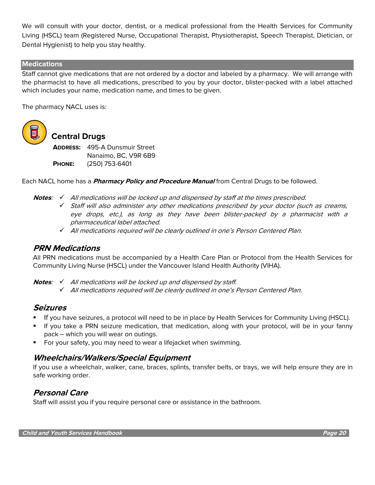We will consult with your doctor, dentist, or a medical professional from the Health Services for Community Living (HSCL) team (Registered Nurse, Occupational Therapist, Physiotherapist, Speech Therapist, Dietician, or Dental Hygienist) to help you stay healthy.

#### **Medications**

Staff cannot give medications that are not ordered by a doctor and labeled by a pharmacy. We will arrange with the pharmacist to have all medications, prescribed to you by your doctor, blister-packed with a label attached which includes your name, medication name, and times to be given.

The pharmacy NACL uses is:



## **Central Drugs**

**ADDRESS:** 495-A Dunsmuir Street Nanaimo, BC, V9R 6B9 **PHONE:** (250) 753-6401

Each NACL home has a **Pharmacy Policy and Procedure Manual** from Central Drugs to be followed.

- **Notes**: ✓ All medications will be locked up and dispensed by staff at the times prescribed.
	- $\checkmark$  Staff will also administer any other medications prescribed by your doctor (such as creams, eye drops, etc.), as long as they have been blister-packed by a pharmacist with a pharmaceutical label attached.
	- ✓ All medications required will be clearly outlined in one's Person Centered Plan.

### **PRN Medications**

All PRN medications must be accompanied by a Health Care Plan or Protocol from the Health Services for Community Living Nurse (HSCL) under the Vancouver Island Health Authority (VIHA).

**Notes:** √ All medications will be locked up and dispensed by staff.

✓ All medications required will be clearly outlined in one's Person Centered Plan.

### **Seizures**

- If you have seizures, a protocol will need to be in place by Health Services for Community Living (HSCL).
- If you take a PRN seizure medication, that medication, along with your protocol, will be in your fanny pack – which you will wear on outings.
- For your safety, you may need to wear a lifejacket when swimming.

### **Wheelchairs/Walkers/Special Equipment**

If you use a wheelchair, walker, cane, braces, splints, transfer belts, or trays, we will help ensure they are in safe working order.

## **Personal Care**

Staff will assist you if you require personal care or assistance in the bathroom.